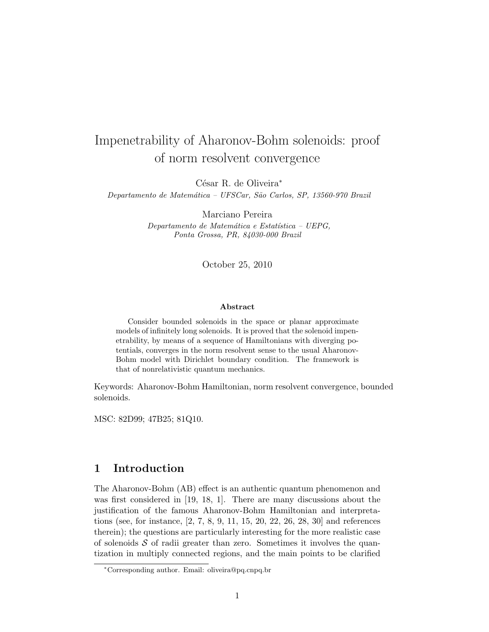# Impenetrability of Aharonov-Bohm solenoids: proof of norm resolvent convergence

César R. de Oliveira<sup>∗</sup>

Departamento de Matemática – UFSCar, São Carlos, SP, 13560-970 Brazil

Marciano Pereira

 $Departmento de Matemática e Estatística - UEPG,$ Ponta Grossa, PR, 84030-000 Brazil

October 25, 2010

#### Abstract

Consider bounded solenoids in the space or planar approximate models of infinitely long solenoids. It is proved that the solenoid impenetrability, by means of a sequence of Hamiltonians with diverging potentials, converges in the norm resolvent sense to the usual Aharonov-Bohm model with Dirichlet boundary condition. The framework is that of nonrelativistic quantum mechanics.

Keywords: Aharonov-Bohm Hamiltonian, norm resolvent convergence, bounded solenoids.

MSC: 82D99; 47B25; 81Q10.

## 1 Introduction

The Aharonov-Bohm (AB) effect is an authentic quantum phenomenon and was first considered in [19, 18, 1]. There are many discussions about the justification of the famous Aharonov-Bohm Hamiltonian and interpretations (see, for instance, [2, 7, 8, 9, 11, 15, 20, 22, 26, 28, 30] and references therein); the questions are particularly interesting for the more realistic case of solenoids  $S$  of radii greater than zero. Sometimes it involves the quantization in multiply connected regions, and the main points to be clarified

<sup>∗</sup>Corresponding author. Email: oliveira@pq.cnpq.br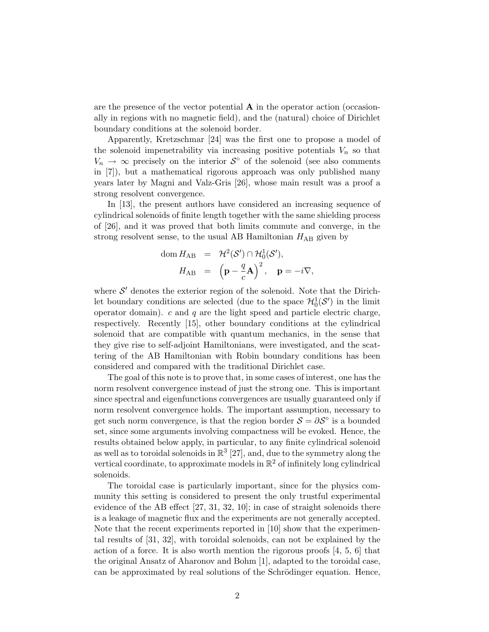are the presence of the vector potential  $\bf{A}$  in the operator action (occasionally in regions with no magnetic field), and the (natural) choice of Dirichlet boundary conditions at the solenoid border.

Apparently, Kretzschmar [24] was the first one to propose a model of the solenoid impenetrability via increasing positive potentials  $V_n$  so that  $V_n \to \infty$  precisely on the interior  $S^{\circ}$  of the solenoid (see also comments in [7]), but a mathematical rigorous approach was only published many years later by Magni and Valz-Gris [26], whose main result was a proof a strong resolvent convergence.

In [13], the present authors have considered an increasing sequence of cylindrical solenoids of finite length together with the same shielding process of [26], and it was proved that both limits commute and converge, in the strong resolvent sense, to the usual AB Hamiltonian  $H_{AB}$  given by

dom 
$$
H_{AB} = \mathcal{H}^2(\mathcal{S}') \cap \mathcal{H}_0^1(\mathcal{S}'),
$$
  
\n $H_{AB} = (\mathbf{p} - \frac{q}{c} \mathbf{A})^2, \mathbf{p} = -i \nabla,$ 

where  $S'$  denotes the exterior region of the solenoid. Note that the Dirichlet boundary conditions are selected (due to the space  $\mathcal{H}_0^1(\mathcal{S}')$  in the limit operator domain).  $c$  and  $q$  are the light speed and particle electric charge, respectively. Recently [15], other boundary conditions at the cylindrical solenoid that are compatible with quantum mechanics, in the sense that they give rise to self-adjoint Hamiltonians, were investigated, and the scattering of the AB Hamiltonian with Robin boundary conditions has been considered and compared with the traditional Dirichlet case.

The goal of this note is to prove that, in some cases of interest, one has the norm resolvent convergence instead of just the strong one. This is important since spectral and eigenfunctions convergences are usually guaranteed only if norm resolvent convergence holds. The important assumption, necessary to get such norm convergence, is that the region border  $\mathcal{S} = \partial \mathcal{S}^{\circ}$  is a bounded set, since some arguments involving compactness will be evoked. Hence, the results obtained below apply, in particular, to any finite cylindrical solenoid as well as to toroidal solenoids in  $\mathbb{R}^3$  [27], and, due to the symmetry along the vertical coordinate, to approximate models in  $\mathbb{R}^2$  of infinitely long cylindrical solenoids.

The toroidal case is particularly important, since for the physics community this setting is considered to present the only trustful experimental evidence of the AB effect [27, 31, 32, 10]; in case of straight solenoids there is a leakage of magnetic flux and the experiments are not generally accepted. Note that the recent experiments reported in [10] show that the experimental results of [31, 32], with toroidal solenoids, can not be explained by the action of a force. It is also worth mention the rigorous proofs  $[4, 5, 6]$  that the original Ansatz of Aharonov and Bohm [1], adapted to the toroidal case, can be approximated by real solutions of the Schrödinger equation. Hence,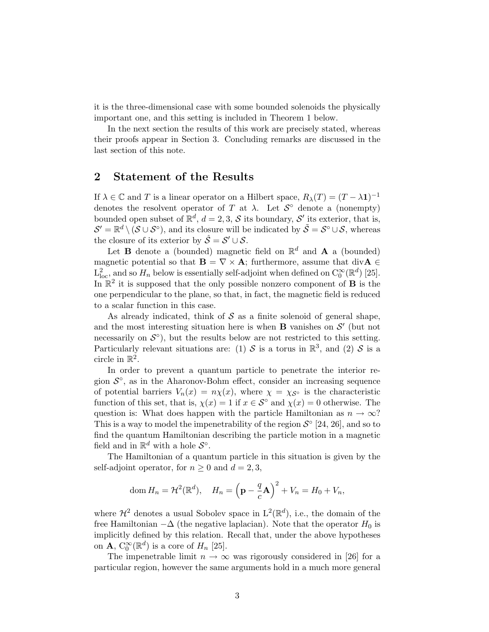it is the three-dimensional case with some bounded solenoids the physically important one, and this setting is included in Theorem 1 below.

In the next section the results of this work are precisely stated, whereas their proofs appear in Section 3. Concluding remarks are discussed in the last section of this note.

## 2 Statement of the Results

If  $\lambda \in \mathbb{C}$  and T is a linear operator on a Hilbert space,  $R_{\lambda}(T) = (T - \lambda \mathbf{1})^{-1}$ denotes the resolvent operator of T at  $\lambda$ . Let  $S^{\circ}$  denote a (nonempty) bounded open subset of  $\mathbb{R}^d$ ,  $d = 2, 3, \mathcal{S}$  its boundary,  $\mathcal{S}'$  its exterior, that is,  $\mathcal{S}' = \mathbb{R}^d \setminus (\mathcal{S} \cup \mathcal{S}^\circ)$ , and its closure will be indicated by  $\tilde{\mathcal{S}} = \mathcal{S}^\circ \cup \mathcal{S}$ , whereas the closure of its exterior by  $\hat{S} = S' \cup S$ .

Let **B** denote a (bounded) magnetic field on  $\mathbb{R}^d$  and **A** a (bounded) magnetic potential so that  $\mathbf{B} = \nabla \times \mathbf{A}$ ; furthermore, assume that div $\mathbf{A} \in$  $L^2_{loc}$ , and so  $H_n$  below is essentially self-adjoint when defined on  $C_0^{\infty}(\mathbb{R}^d)$  [25]. In  $\mathbb{R}^2$  it is supposed that the only possible nonzero component of **B** is the one perpendicular to the plane, so that, in fact, the magnetic field is reduced to a scalar function in this case.

As already indicated, think of  $S$  as a finite solenoid of general shape, and the most interesting situation here is when  $B$  vanishes on  $S'$  (but not necessarily on  $\mathcal{S}^{\circ}$ , but the results below are not restricted to this setting. Particularly relevant situations are: (1) S is a torus in  $\mathbb{R}^3$ , and (2) S is a circle in  $\mathbb{R}^2$ .

In order to prevent a quantum particle to penetrate the interior region  $\mathcal{S}^{\circ}$ , as in the Aharonov-Bohm effect, consider an increasing sequence of potential barriers  $V_n(x) = n\chi(x)$ , where  $\chi = \chi_{\mathcal{S}^\circ}$  is the characteristic function of this set, that is,  $\chi(x) = 1$  if  $x \in S^{\circ}$  and  $\chi(x) = 0$  otherwise. The question is: What does happen with the particle Hamiltonian as  $n \to \infty$ ? This is a way to model the impenetrability of the region  $S^{\circ}$  [24, 26], and so to find the quantum Hamiltonian describing the particle motion in a magnetic field and in  $\mathbb{R}^d$  with a hole  $\mathcal{S}^{\circ}$ .

The Hamiltonian of a quantum particle in this situation is given by the self-adjoint operator, for  $n \geq 0$  and  $d = 2, 3$ ,

dom 
$$
H_n = \mathcal{H}^2(\mathbb{R}^d)
$$
,  $H_n = \left(\mathbf{p} - \frac{q}{c}\mathbf{A}\right)^2 + V_n = H_0 + V_n$ ,

where  $\mathcal{H}^2$  denotes a usual Sobolev space in  $L^2(\mathbb{R}^d)$ , i.e., the domain of the free Hamiltonian  $-\Delta$  (the negative laplacian). Note that the operator  $H_0$  is implicitly defined by this relation. Recall that, under the above hypotheses on **A**,  $C_0^{\infty}(\mathbb{R}^d)$  is a core of  $H_n$  [25].

The impenetrable limit  $n \to \infty$  was rigorously considered in [26] for a particular region, however the same arguments hold in a much more general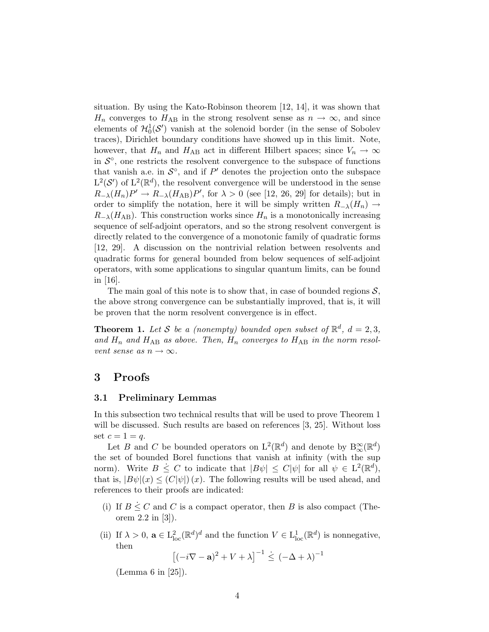situation. By using the Kato-Robinson theorem [12, 14], it was shown that  $H_n$  converges to  $H_{AB}$  in the strong resolvent sense as  $n \to \infty$ , and since elements of  $\mathcal{H}_0^1(\mathcal{S}')$  vanish at the solenoid border (in the sense of Sobolev traces), Dirichlet boundary conditions have showed up in this limit. Note, however, that  $H_n$  and  $H_{AB}$  act in different Hilbert spaces; since  $V_n \to \infty$ in  $\mathcal{S}^{\circ}$ , one restricts the resolvent convergence to the subspace of functions that vanish a.e. in  $\mathcal{S}^{\circ}$ , and if P' denotes the projection onto the subspace  $L^2(\mathcal{S}')$  of  $L^2(\mathbb{R}^d)$ , the resolvent convergence will be understood in the sense  $R_{-\lambda}(H_n)P' \to R_{-\lambda}(H_{AB})P'$ , for  $\lambda > 0$  (see [12, 26, 29] for details); but in order to simplify the notation, here it will be simply written  $R_{-\lambda}(H_n) \to$  $R_{-\lambda}(H_{\rm AB})$ . This construction works since  $H_n$  is a monotonically increasing sequence of self-adjoint operators, and so the strong resolvent convergent is directly related to the convergence of a monotonic family of quadratic forms [12, 29]. A discussion on the nontrivial relation between resolvents and quadratic forms for general bounded from below sequences of self-adjoint operators, with some applications to singular quantum limits, can be found in [16].

The main goal of this note is to show that, in case of bounded regions  $S$ , the above strong convergence can be substantially improved, that is, it will be proven that the norm resolvent convergence is in effect.

**Theorem 1.** Let S be a (nonempty) bounded open subset of  $\mathbb{R}^d$ ,  $d = 2,3$ , and  $H_n$  and  $H_{AB}$  as above. Then,  $H_n$  converges to  $H_{AB}$  in the norm resolvent sense as  $n \to \infty$ .

## 3 Proofs

#### 3.1 Preliminary Lemmas

In this subsection two technical results that will be used to prove Theorem 1 will be discussed. Such results are based on references [3, 25]. Without loss set  $c=1=q$ .

Let B and C be bounded operators on  $\mathcal{L}^2(\mathbb{R}^d)$  and denote by  $\mathcal{B}_\infty^{\infty}(\mathbb{R}^d)$ the set of bounded Borel functions that vanish at infinity (with the sup norm). Write  $B \leq C$  to indicate that  $|B\psi| \leq C|\psi|$  for all  $\psi \in L^2(\mathbb{R}^d)$ , that is,  $|B\psi|(x) \leq (C|\psi|)(x)$ . The following results will be used ahead, and references to their proofs are indicated:

- (i) If  $B \leq C$  and C is a compact operator, then B is also compact (Theorem 2.2 in [3]).
- (ii) If  $\lambda > 0$ ,  $\mathbf{a} \in L^2_{loc}(\mathbb{R}^d)^d$  and the function  $V \in L^1_{loc}(\mathbb{R}^d)$  is nonnegative, then

$$
\left[(-i\nabla - \mathbf{a})^2 + V + \lambda\right]^{-1} \leq (-\Delta + \lambda)^{-1}
$$

(Lemma 6 in [25]).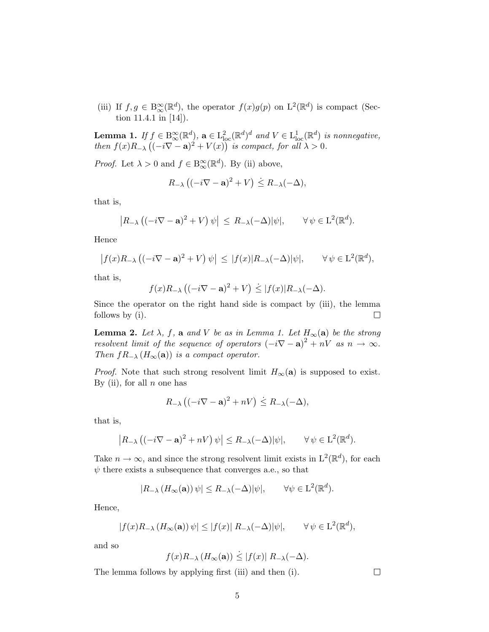(iii) If  $f, g \in B^{\infty}_{\infty}(\mathbb{R}^d)$ , the operator  $f(x)g(p)$  on  $L^2(\mathbb{R}^d)$  is compact (Section 11.4.1 in [14]).

**Lemma 1.** If  $f \in B^{\infty}_{\infty}(\mathbb{R}^d)$ ,  $\mathbf{a} \in L^2_{\text{loc}}(\mathbb{R}^d)^d$  and  $V \in L^1_{\text{loc}}(\mathbb{R}^d)$  is nonnegative, then  $f(x)R_{-\lambda}\left((-i\nabla - \mathbf{a})^2 + V(x)\right)$  is compact, for all  $\lambda > 0$ .

*Proof.* Let  $\lambda > 0$  and  $f \in B^{\infty}_{\infty}(\mathbb{R}^d)$ . By (ii) above,

$$
R_{-\lambda}\left((-i\nabla - \mathbf{a})^2 + V\right) \leq R_{-\lambda}(-\Delta),
$$

that is,

$$
|R_{-\lambda} ((-i\nabla - \mathbf{a})^2 + V) \psi| \le R_{-\lambda} (-\Delta) |\psi|, \quad \forall \psi \in \mathcal{L}^2(\mathbb{R}^d).
$$

Hence

$$
\left|f(x)R_{-\lambda}\left((-i\nabla-\mathbf{a})^2+V\right)\psi\right| \leq |f(x)|R_{-\lambda}(-\Delta)|\psi|, \qquad \forall \psi \in \mathcal{L}^2(\mathbb{R}^d),
$$

that is,

$$
f(x)R_{-\lambda}\left((-i\nabla - \mathbf{a})^2 + V\right) \le |f(x)|R_{-\lambda}(-\Delta).
$$

Since the operator on the right hand side is compact by (iii), the lemma follows by (i).  $\Box$ 

**Lemma 2.** Let  $\lambda$ , f, a and V be as in Lemma 1. Let  $H_{\infty}(\mathbf{a})$  be the strong resolvent limit of the sequence of operators  $(-i\nabla - \mathbf{a})^2 + nV$  as  $n \to \infty$ . Then  $fR_{-\lambda}(H_{\infty}(\mathbf{a}))$  is a compact operator.

*Proof.* Note that such strong resolvent limit  $H_{\infty}(\mathbf{a})$  is supposed to exist. By (ii), for all  $n$  one has

$$
R_{-\lambda}\left((-i\nabla - \mathbf{a})^2 + nV\right) \leq R_{-\lambda}(-\Delta),
$$

that is,

$$
\left|R_{-\lambda}\left((-i\nabla-\mathbf{a})^2+nV\right)\psi\right|\leq R_{-\lambda}(-\Delta)|\psi|,\qquad\forall\,\psi\in\mathrm{L}^2(\mathbb{R}^d).
$$

Take  $n \to \infty$ , and since the strong resolvent limit exists in  $L^2(\mathbb{R}^d)$ , for each  $\psi$  there exists a subsequence that converges a.e., so that

$$
|R_{-\lambda}(H_{\infty}(\mathbf{a}))\psi| \le R_{-\lambda}(-\Delta)|\psi|, \quad \forall \psi \in L^{2}(\mathbb{R}^{d}).
$$

Hence,

$$
|f(x)R_{-\lambda}(H_{\infty}(\mathbf{a}))\,\psi| \le |f(x)|\,R_{-\lambda}(-\Delta)|\psi|, \qquad \forall\,\psi \in \mathcal{L}^2(\mathbb{R}^d),
$$

and so

$$
f(x)R_{-\lambda}(H_{\infty}(\mathbf{a})) \le |f(x)| R_{-\lambda}(-\Delta).
$$

The lemma follows by applying first (iii) and then (i).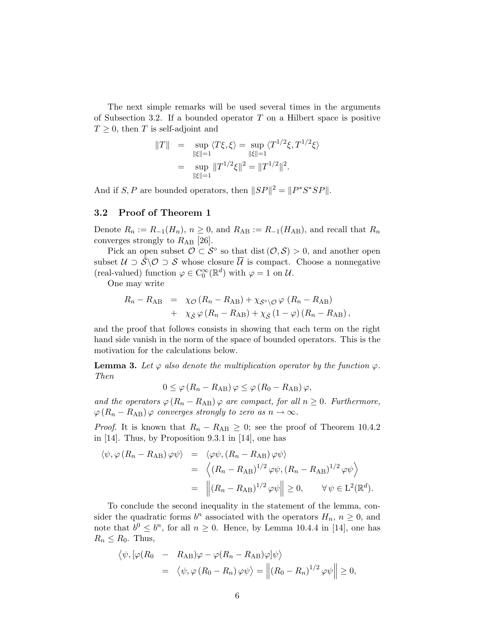The next simple remarks will be used several times in the arguments of Subsection 3.2. If a bounded operator  $T$  on a Hilbert space is positive  $T \geq 0$ , then T is self-adjoint and

$$
||T|| = \sup_{||\xi||=1} \langle T\xi, \xi \rangle = \sup_{||\xi||=1} \langle T^{1/2}\xi, T^{1/2}\xi \rangle
$$
  
= 
$$
\sup_{||\xi||=1} ||T^{1/2}\xi||^2 = ||T^{1/2}||^2.
$$

And if S, P are bounded operators, then  $||SP||^2 = ||P^*S^*SP||$ .

#### 3.2 Proof of Theorem 1

Denote  $R_n := R_{-1}(H_n)$ ,  $n \geq 0$ , and  $R_{AB} := R_{-1}(H_{AB})$ , and recall that  $R_n$ converges strongly to  $R_{AB}$  [26].

Pick an open subset  $\mathcal{O} \subset \mathcal{S}^{\circ}$  so that dist  $(\mathcal{O}, \mathcal{S}) > 0$ , and another open subset  $\mathcal{U} \supset \tilde{\mathcal{S}} \backslash \mathcal{O} \supset \mathcal{S}$  whose closure  $\overline{\mathcal{U}}$  is compact. Choose a nonnegative (real-valued) function  $\varphi \in C_0^{\infty}(\mathbb{R}^d)$  with  $\varphi = 1$  on U.

One may write

$$
R_n - R_{AB} = \chi_{\mathcal{O}} (R_n - R_{AB}) + \chi_{\mathcal{S}^{\circ} \backslash \mathcal{O}} \varphi (R_n - R_{AB}) + \chi_{\hat{\mathcal{S}}} \varphi (R_n - R_{AB}) + \chi_{\hat{\mathcal{S}}} (1 - \varphi) (R_n - R_{AB}),
$$

and the proof that follows consists in showing that each term on the right hand side vanish in the norm of the space of bounded operators. This is the motivation for the calculations below.

**Lemma 3.** Let  $\varphi$  also denote the multiplication operator by the function  $\varphi$ . Then

$$
0 \leq \varphi (R_n - R_{AB}) \varphi \leq \varphi (R_0 - R_{AB}) \varphi,
$$

and the operators  $\varphi (R_n - R_{AB}) \varphi$  are compact, for all  $n \geq 0$ . Furthermore,  $\varphi(R_n - R_{AB})\varphi$  converges strongly to zero as  $n \to \infty$ .

*Proof.* It is known that  $R_n - R_{AB} \geq 0$ ; see the proof of Theorem 10.4.2 in [14]. Thus, by Proposition 9.3.1 in [14], one has

$$
\langle \psi, \varphi (R_n - R_{AB}) \varphi \psi \rangle = \langle \varphi \psi, (R_n - R_{AB}) \varphi \psi \rangle
$$
  
= 
$$
\langle (R_n - R_{AB})^{1/2} \varphi \psi, (R_n - R_{AB})^{1/2} \varphi \psi \rangle
$$
  
= 
$$
\|(R_n - R_{AB})^{1/2} \varphi \psi\| \ge 0, \qquad \forall \psi \in L^2(\mathbb{R}^d).
$$

To conclude the second inequality in the statement of the lemma, consider the quadratic forms  $b^n$  associated with the operators  $H_n$ ,  $n \geq 0$ , and note that  $b^0 \n\t\leq b^n$ , for all  $n \geq 0$ . Hence, by Lemma 10.4.4 in [14], one has  $R_n \leq R_0$ . Thus,

$$
\langle \psi, [\varphi(R_0 - R_{AB})\varphi - \varphi(R_n - R_{AB})\varphi] \psi \rangle
$$
  
=  $\langle \psi, \varphi(R_0 - R_n) \varphi \psi \rangle = ||(R_0 - R_n)^{1/2} \varphi \psi|| \ge 0,$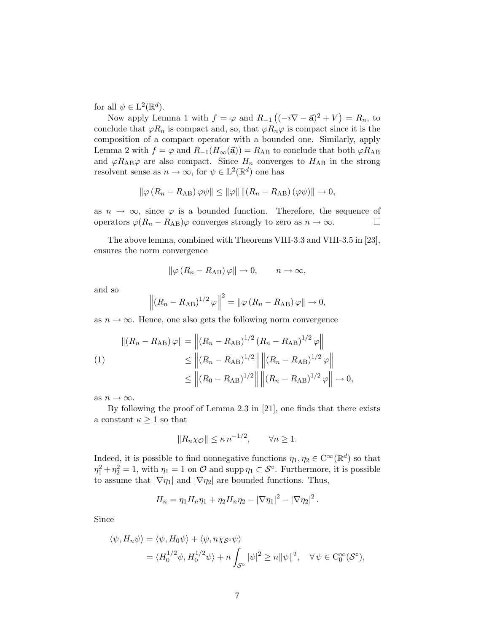for all  $\psi \in L^2(\mathbb{R}^d)$ .

Now apply Lemma 1 with  $f = \varphi$  and  $R_{-1} ((-i\nabla - \vec{a})^2 + V) = R_n$ , to conclude that  $\varphi R_n$  is compact and, so, that  $\varphi R_n\varphi$  is compact since it is the composition of a compact operator with a bounded one. Similarly, apply Lemma 2 with  $f = \varphi$  and  $R_{-1}(H_{\infty}(\vec{a})) = R_{AB}$  to conclude that both  $\varphi R_{AB}$ and  $\varphi R_{AB}\varphi$  are also compact. Since  $H_n$  converges to  $H_{AB}$  in the strong resolvent sense as  $n \to \infty$ , for  $\psi \in L^2(\mathbb{R}^d)$  one has

$$
\|\varphi(R_n - R_{AB})\varphi\psi\| \le \|\varphi\| \| (R_n - R_{AB})(\varphi\psi) \| \to 0,
$$

as  $n \to \infty$ , since  $\varphi$  is a bounded function. Therefore, the sequence of operators  $\varphi(R_n - R_{AB})\varphi$  converges strongly to zero as  $n \to \infty$ .  $\Box$ 

The above lemma, combined with Theorems VIII-3.3 and VIII-3.5 in [23], ensures the norm convergence

$$
\|\varphi\left(R_n - R_{AB}\right)\varphi\| \to 0, \qquad n \to \infty,
$$

and so

$$
\left\| \left(R_n - R_{AB}\right)^{1/2} \varphi \right\|^2 = \left\| \varphi \left(R_n - R_{AB}\right) \varphi \right\| \to 0,
$$

as  $n \to \infty$ . Hence, one also gets the following norm convergence

$$
||(R_n - R_{AB})\varphi|| = ||(R_n - R_{AB})^{1/2} (R_n - R_{AB})^{1/2} \varphi||
$$
  
\n
$$
\le ||(R_n - R_{AB})^{1/2}|| ||(R_n - R_{AB})^{1/2} \varphi||
$$
  
\n
$$
\le ||(R_0 - R_{AB})^{1/2}|| ||(R_n - R_{AB})^{1/2} \varphi|| \to 0,
$$

as  $n \to \infty$ .

By following the proof of Lemma 2.3 in [21], one finds that there exists a constant  $\kappa \geq 1$  so that

$$
||R_n\chi_{\mathcal{O}}|| \leq \kappa n^{-1/2}, \qquad \forall n \geq 1.
$$

Indeed, it is possible to find nonnegative functions  $\eta_1, \eta_2 \in C^{\infty}(\mathbb{R}^d)$  so that  $\eta_1^2 + \eta_2^2 = 1$ , with  $\eta_1 = 1$  on  $\mathcal O$  and supp  $\eta_1 \subset \mathcal S^\circ$ . Furthermore, it is possible to assume that  $|\nabla \eta_1|$  and  $|\nabla \eta_2|$  are bounded functions. Thus,

$$
H_n = \eta_1 H_n \eta_1 + \eta_2 H_n \eta_2 - |\nabla \eta_1|^2 - |\nabla \eta_2|^2.
$$

Since

$$
\langle \psi, H_n \psi \rangle = \langle \psi, H_0 \psi \rangle + \langle \psi, n \chi_{\mathcal{S}^{\circ}} \psi \rangle
$$
  
=  $\langle H_0^{1/2} \psi, H_0^{1/2} \psi \rangle + n \int_{\mathcal{S}^{\circ}} |\psi|^2 \ge n ||\psi||^2, \quad \forall \psi \in C_0^{\infty}(\mathcal{S}^{\circ}),$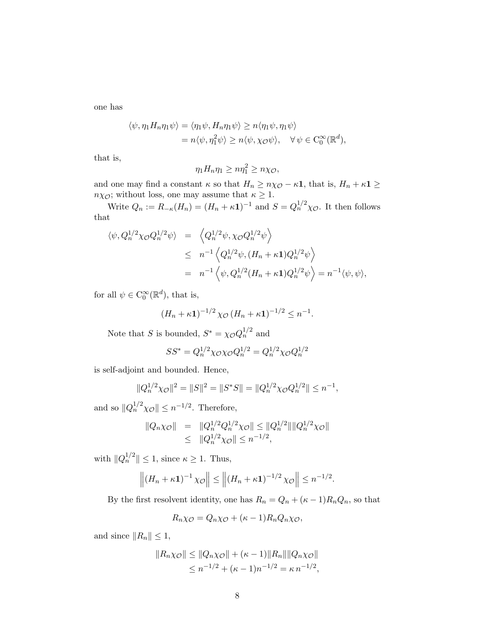one has

$$
\langle \psi, \eta_1 H_n \eta_1 \psi \rangle = \langle \eta_1 \psi, H_n \eta_1 \psi \rangle \ge n \langle \eta_1 \psi, \eta_1 \psi \rangle
$$
  
=  $n \langle \psi, \eta_1^2 \psi \rangle \ge n \langle \psi, \chi \circ \psi \rangle, \quad \forall \psi \in C_0^{\infty}(\mathbb{R}^d),$ 

that is,

$$
\eta_1 H_n \eta_1 \geq n \eta_1^2 \geq n \chi_{\mathcal{O}},
$$

and one may find a constant  $\kappa$  so that  $H_n \ge n \chi_{\mathcal{O}} - \kappa \mathbf{1}$ , that is,  $H_n + \kappa \mathbf{1} \ge$  $n\chi_{\mathcal{O}}$ ; without loss, one may assume that  $\kappa \geq 1$ .

Write  $Q_n := R_{-\kappa}(H_n) = (H_n + \kappa \mathbf{1})^{-1}$  and  $S = Q_n^{1/2} \chi_{\mathcal{O}}$ . It then follows that

$$
\langle \psi, Q_n^{1/2} \chi \circ Q_n^{1/2} \psi \rangle = \left\langle Q_n^{1/2} \psi, \chi \circ Q_n^{1/2} \psi \right\rangle
$$
  
\n
$$
\leq n^{-1} \left\langle Q_n^{1/2} \psi, (H_n + \kappa \mathbf{1}) Q_n^{1/2} \psi \right\rangle
$$
  
\n
$$
= n^{-1} \left\langle \psi, Q_n^{1/2} (H_n + \kappa \mathbf{1}) Q_n^{1/2} \psi \right\rangle = n^{-1} \langle \psi, \psi \rangle,
$$

for all  $\psi \in C_0^{\infty}(\mathbb{R}^d)$ , that is,

$$
(H_n + \kappa \mathbf{1})^{-1/2} \chi_{\mathcal{O}} (H_n + \kappa \mathbf{1})^{-1/2} \leq n^{-1}.
$$

Note that S is bounded,  $S^* = \chi_{\mathcal{O}} Q_n^{1/2}$  and

$$
SS^* = Q_n^{1/2} \chi_O \chi_O Q_n^{1/2} = Q_n^{1/2} \chi_O Q_n^{1/2}
$$

is self-adjoint and bounded. Hence,

$$
||Q_n^{1/2}\chi_{\mathcal{O}}||^2 = ||S||^2 = ||S^*S|| = ||Q_n^{1/2}\chi_{\mathcal{O}}Q_n^{1/2}|| \leq n^{-1},
$$

and so  $||Q_n^{1/2}\chi_{\mathcal{O}}|| \leq n^{-1/2}$ . Therefore,

$$
||Q_n\chi_{\mathcal{O}}|| = ||Q_n^{1/2}Q_n^{1/2}\chi_{\mathcal{O}}|| \le ||Q_n^{1/2}|| ||Q_n^{1/2}\chi_{\mathcal{O}}||
$$
  
 
$$
\le ||Q_n^{1/2}\chi_{\mathcal{O}}|| \le n^{-1/2},
$$

with  $||Q_n^{1/2}|| \leq 1$ , since  $\kappa \geq 1$ . Thus,

$$
\left\| \left( H_n + \kappa \mathbf{1} \right)^{-1} \chi_{\mathcal{O}} \right\| \le \left\| \left( H_n + \kappa \mathbf{1} \right)^{-1/2} \chi_{\mathcal{O}} \right\| \le n^{-1/2}.
$$

By the first resolvent identity, one has  $R_n = Q_n + (\kappa - 1)R_nQ_n$ , so that

$$
R_n\chi_{\mathcal{O}} = Q_n\chi_{\mathcal{O}} + (\kappa - 1)R_nQ_n\chi_{\mathcal{O}},
$$

and since  $||R_n|| \leq 1$ ,

$$
||R_n\chi_{\mathcal{O}}|| \le ||Q_n\chi_{\mathcal{O}}|| + (\kappa - 1)||R_n|| ||Q_n\chi_{\mathcal{O}}||
$$
  

$$
\le n^{-1/2} + (\kappa - 1)n^{-1/2} = \kappa n^{-1/2},
$$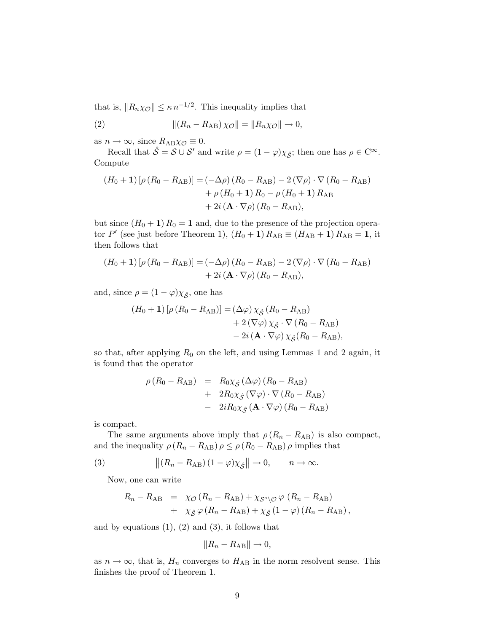that is,  $||R_n\chi_{\mathcal{O}}|| \leq \kappa n^{-1/2}$ . This inequality implies that

(2) 
$$
\|(R_n - R_{AB})\chi_{\mathcal{O}}\| = \|R_n\chi_{\mathcal{O}}\| \to 0,
$$

as  $n \to \infty$ , since  $R_{AB}\chi_{\mathcal{O}} \equiv 0$ .

Recall that  $\hat{S} = S \cup S'$  and write  $\rho = (1 - \varphi)\chi_{\hat{S}}$ ; then one has  $\rho \in C^{\infty}$ . Compute

$$
(H_0 + 1) [\rho (R_0 - R_{AB})] = (-\Delta \rho) (R_0 - R_{AB}) - 2 (\nabla \rho) \cdot \nabla (R_0 - R_{AB})
$$
  
+  $\rho (H_0 + 1) R_0 - \rho (H_0 + 1) R_{AB}$   
+  $2i (\mathbf{A} \cdot \nabla \rho) (R_0 - R_{AB}),$ 

but since  $(H_0 + 1) R_0 = 1$  and, due to the presence of the projection operator P' (see just before Theorem 1),  $(H_0 + 1) R_{AB} \equiv (H_{AB} + 1) R_{AB} = 1$ , it then follows that

$$
(H_0 + 1) [\rho (R_0 - R_{AB})] = (-\Delta \rho) (R_0 - R_{AB}) - 2 (\nabla \rho) \cdot \nabla (R_0 - R_{AB}) + 2i (\mathbf{A} \cdot \nabla \rho) (R_0 - R_{AB}),
$$

and, since  $\rho = (1 - \varphi)\chi_{\hat{\mathcal{S}}}$ , one has

$$
(H_0 + 1) [\rho (R_0 - R_{AB})] = (\Delta \varphi) \chi_{\hat{\mathcal{S}}}(R_0 - R_{AB})
$$
  
+ 2 (\nabla \varphi) \chi\_{\hat{\mathcal{S}}} \cdot \nabla (R\_0 - R\_{AB})  
- 2i (\mathbf{A} \cdot \nabla \varphi) \chi\_{\hat{\mathcal{S}}}(R\_0 - R\_{AB}),

so that, after applying  $R_0$  on the left, and using Lemmas 1 and 2 again, it is found that the operator

$$
\rho (R_0 - R_{AB}) = R_0 \chi_{\hat{S}} (\Delta \varphi) (R_0 - R_{AB}) \n+ 2R_0 \chi_{\hat{S}} (\nabla \varphi) \cdot \nabla (R_0 - R_{AB}) \n- 2iR_0 \chi_{\hat{S}} (\mathbf{A} \cdot \nabla \varphi) (R_0 - R_{AB})
$$

is compact.

The same arguments above imply that  $\rho (R_n - R_{AB})$  is also compact, and the inequality  $\rho (R_n - R_{AB}) \rho \le \rho (R_0 - R_{AB}) \rho$  implies that

(3) 
$$
\|(R_n - R_{AB})(1 - \varphi)\chi_{\hat{\mathcal{S}}}\| \to 0, \qquad n \to \infty.
$$

Now, one can write

$$
R_n - R_{AB} = \chi_{\mathcal{O}} (R_n - R_{AB}) + \chi_{\mathcal{S}^{\circ} \backslash \mathcal{O}} \varphi (R_n - R_{AB}) + \chi_{\hat{\mathcal{S}}} \varphi (R_n - R_{AB}) + \chi_{\hat{\mathcal{S}}} (1 - \varphi) (R_n - R_{AB}),
$$

and by equations  $(1)$ ,  $(2)$  and  $(3)$ , it follows that

$$
||R_n - R_{AB}|| \to 0,
$$

as  $n \to \infty$ , that is,  $H_n$  converges to  $H_{AB}$  in the norm resolvent sense. This finishes the proof of Theorem 1.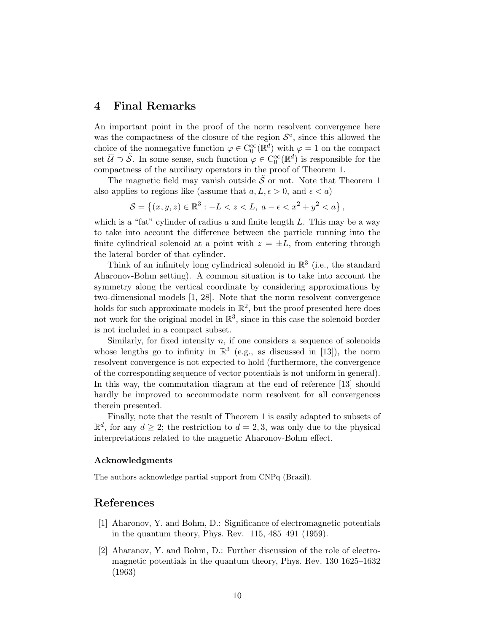## 4 Final Remarks

An important point in the proof of the norm resolvent convergence here was the compactness of the closure of the region  $\mathcal{S}^{\circ}$ , since this allowed the choice of the nonnegative function  $\varphi \in C_0^{\infty}(\mathbb{R}^d)$  with  $\varphi = 1$  on the compact set  $\overline{U} \supset \tilde{S}$ . In some sense, such function  $\varphi \in C_0^{\infty}(\mathbb{R}^d)$  is responsible for the compactness of the auxiliary operators in the proof of Theorem 1.

The magnetic field may vanish outside  $\tilde{\mathcal{S}}$  or not. Note that Theorem 1 also applies to regions like (assume that  $a, L, \epsilon > 0$ , and  $\epsilon < a$ )

$$
S = \{(x, y, z) \in \mathbb{R}^3 : -L < z < L, \ a - \epsilon < x^2 + y^2 < a\},\
$$

which is a "fat" cylinder of radius a and finite length  $L$ . This may be a way to take into account the difference between the particle running into the finite cylindrical solenoid at a point with  $z = \pm L$ , from entering through the lateral border of that cylinder.

Think of an infinitely long cylindrical solenoid in  $\mathbb{R}^3$  (i.e., the standard Aharonov-Bohm setting). A common situation is to take into account the symmetry along the vertical coordinate by considering approximations by two-dimensional models [1, 28]. Note that the norm resolvent convergence holds for such approximate models in  $\mathbb{R}^2$ , but the proof presented here does not work for the original model in  $\mathbb{R}^3$ , since in this case the solenoid border is not included in a compact subset.

Similarly, for fixed intensity  $n$ , if one considers a sequence of solenoids whose lengths go to infinity in  $\mathbb{R}^3$  (e.g., as discussed in [13]), the norm resolvent convergence is not expected to hold (furthermore, the convergence of the corresponding sequence of vector potentials is not uniform in general). In this way, the commutation diagram at the end of reference [13] should hardly be improved to accommodate norm resolvent for all convergences therein presented.

Finally, note that the result of Theorem 1 is easily adapted to subsets of  $\mathbb{R}^d$ , for any  $d \geq 2$ ; the restriction to  $d = 2, 3$ , was only due to the physical interpretations related to the magnetic Aharonov-Bohm effect.

#### Acknowledgments

The authors acknowledge partial support from CNPq (Brazil).

### References

- [1] Aharonov, Y. and Bohm, D.: Significance of electromagnetic potentials in the quantum theory, Phys. Rev. 115, 485–491 (1959).
- [2] Aharanov, Y. and Bohm, D.: Further discussion of the role of electromagnetic potentials in the quantum theory, Phys. Rev. 130 1625–1632 (1963)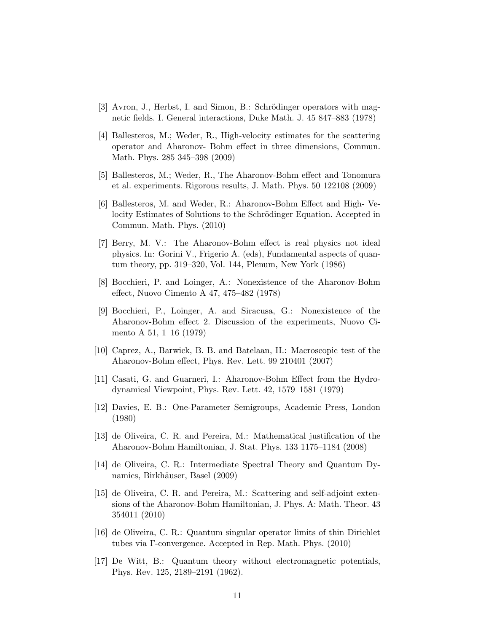- [3] Avron, J., Herbst, I. and Simon, B.: Schrödinger operators with magnetic fields. I. General interactions, Duke Math. J. 45 847–883 (1978)
- [4] Ballesteros, M.; Weder, R., High-velocity estimates for the scattering operator and Aharonov- Bohm effect in three dimensions, Commun. Math. Phys. 285 345–398 (2009)
- [5] Ballesteros, M.; Weder, R., The Aharonov-Bohm effect and Tonomura et al. experiments. Rigorous results, J. Math. Phys. 50 122108 (2009)
- [6] Ballesteros, M. and Weder, R.: Aharonov-Bohm Effect and High- Velocity Estimates of Solutions to the Schrödinger Equation. Accepted in Commun. Math. Phys. (2010)
- [7] Berry, M. V.: The Aharonov-Bohm effect is real physics not ideal physics. In: Gorini V., Frigerio A. (eds), Fundamental aspects of quantum theory, pp. 319–320, Vol. 144, Plenum, New York (1986)
- [8] Bocchieri, P. and Loinger, A.: Nonexistence of the Aharonov-Bohm effect, Nuovo Cimento A 47, 475–482 (1978)
- [9] Bocchieri, P., Loinger, A. and Siracusa, G.: Nonexistence of the Aharonov-Bohm effect 2. Discussion of the experiments, Nuovo Cimento A 51, 1–16 (1979)
- [10] Caprez, A., Barwick, B. B. and Batelaan, H.: Macroscopic test of the Aharonov-Bohm effect, Phys. Rev. Lett. 99 210401 (2007)
- [11] Casati, G. and Guarneri, I.: Aharonov-Bohm Effect from the Hydrodynamical Viewpoint, Phys. Rev. Lett. 42, 1579–1581 (1979)
- [12] Davies, E. B.: One-Parameter Semigroups, Academic Press, London (1980)
- [13] de Oliveira, C. R. and Pereira, M.: Mathematical justification of the Aharonov-Bohm Hamiltonian, J. Stat. Phys. 133 1175–1184 (2008)
- [14] de Oliveira, C. R.: Intermediate Spectral Theory and Quantum Dynamics, Birkhäuser, Basel (2009)
- [15] de Oliveira, C. R. and Pereira, M.: Scattering and self-adjoint extensions of the Aharonov-Bohm Hamiltonian, J. Phys. A: Math. Theor. 43 354011 (2010)
- [16] de Oliveira, C. R.: Quantum singular operator limits of thin Dirichlet tubes via Γ-convergence. Accepted in Rep. Math. Phys. (2010)
- [17] De Witt, B.: Quantum theory without electromagnetic potentials, Phys. Rev. 125, 2189–2191 (1962).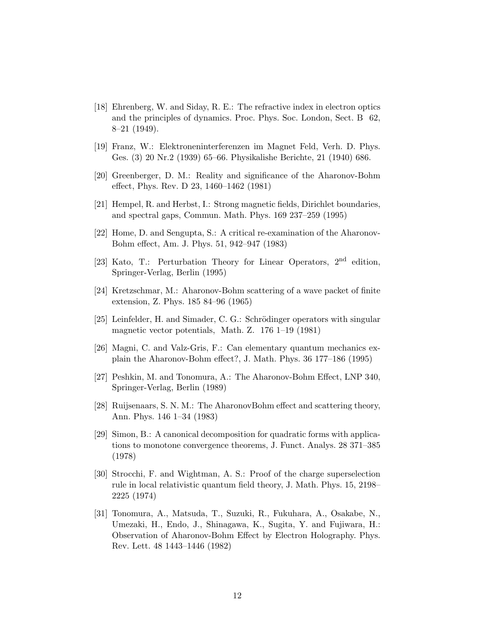- [18] Ehrenberg, W. and Siday, R. E.: The refractive index in electron optics and the principles of dynamics. Proc. Phys. Soc. London, Sect. B 62, 8–21 (1949).
- [19] Franz, W.: Elektroneninterferenzen im Magnet Feld, Verh. D. Phys. Ges. (3) 20 Nr.2 (1939) 65–66. Physikalishe Berichte, 21 (1940) 686.
- [20] Greenberger, D. M.: Reality and significance of the Aharonov-Bohm effect, Phys. Rev. D 23, 1460–1462 (1981)
- [21] Hempel, R. and Herbst, I.: Strong magnetic fields, Dirichlet boundaries, and spectral gaps, Commun. Math. Phys. 169 237–259 (1995)
- [22] Home, D. and Sengupta, S.: A critical re-examination of the Aharonov-Bohm effect, Am. J. Phys. 51, 942–947 (1983)
- [23] Kato, T.: Perturbation Theory for Linear Operators, 2<sup>nd</sup> edition, Springer-Verlag, Berlin (1995)
- [24] Kretzschmar, M.: Aharonov-Bohm scattering of a wave packet of finite extension, Z. Phys. 185 84–96 (1965)
- [25] Leinfelder, H. and Simader, C. G.: Schrödinger operators with singular magnetic vector potentials, Math. Z. 176 1–19 (1981)
- [26] Magni, C. and Valz-Gris, F.: Can elementary quantum mechanics explain the Aharonov-Bohm effect?, J. Math. Phys. 36 177–186 (1995)
- [27] Peshkin, M. and Tonomura, A.: The Aharonov-Bohm Effect, LNP 340, Springer-Verlag, Berlin (1989)
- [28] Ruijsenaars, S. N. M.: The AharonovBohm effect and scattering theory, Ann. Phys. 146 1–34 (1983)
- [29] Simon, B.: A canonical decomposition for quadratic forms with applications to monotone convergence theorems, J. Funct. Analys. 28 371–385 (1978)
- [30] Strocchi, F. and Wightman, A. S.: Proof of the charge superselection rule in local relativistic quantum field theory, J. Math. Phys. 15, 2198– 2225 (1974)
- [31] Tonomura, A., Matsuda, T., Suzuki, R., Fukuhara, A., Osakabe, N., Umezaki, H., Endo, J., Shinagawa, K., Sugita, Y. and Fujiwara, H.: Observation of Aharonov-Bohm Effect by Electron Holography. Phys. Rev. Lett. 48 1443–1446 (1982)